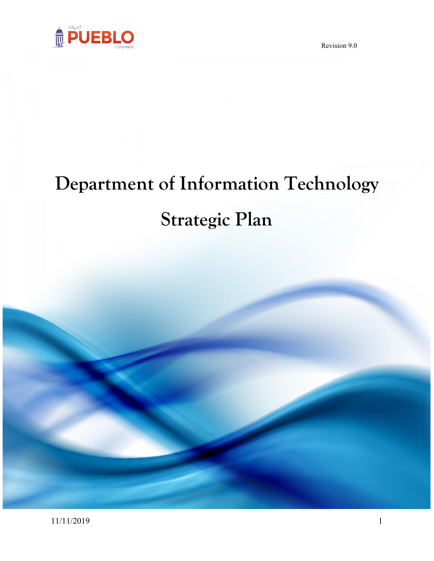

# **Department of Information Technology Strategic Plan**

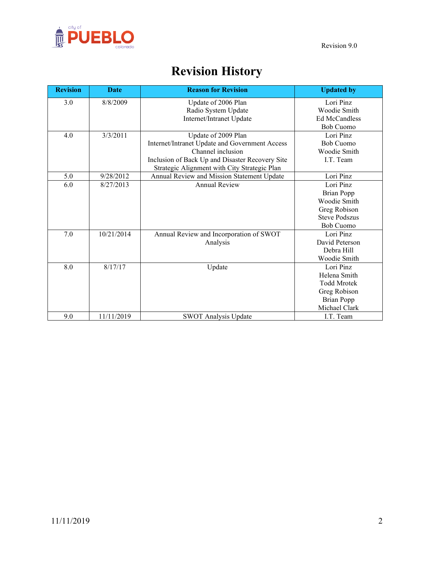

# **Revision History**

| <b>Revision</b> | <b>Date</b> | <b>Reason for Revision</b>                      | <b>Updated by</b>                        |
|-----------------|-------------|-------------------------------------------------|------------------------------------------|
| 3.0             | 8/8/2009    | Update of 2006 Plan<br>Radio System Update      | Lori Pinz<br>Woodie Smith                |
|                 |             | Internet/Intranet Update                        | <b>Ed McCandless</b><br><b>Bob Cuomo</b> |
| 4.0             | 3/3/2011    | Update of 2009 Plan                             | Lori Pinz                                |
|                 |             | Internet/Intranet Update and Government Access  | <b>Bob Cuomo</b>                         |
|                 |             | Channel inclusion                               | Woodie Smith                             |
|                 |             | Inclusion of Back Up and Disaster Recovery Site | I.T. Team                                |
|                 |             | Strategic Alignment with City Strategic Plan    |                                          |
| 5.0             | 9/28/2012   | Annual Review and Mission Statement Update      | Lori Pinz                                |
| 6.0             | 8/27/2013   | <b>Annual Review</b>                            | Lori Pinz                                |
|                 |             |                                                 | <b>Brian Popp</b>                        |
|                 |             |                                                 | Woodie Smith                             |
|                 |             |                                                 | Greg Robison                             |
|                 |             |                                                 | <b>Steve Podszus</b>                     |
|                 |             |                                                 | <b>Bob Cuomo</b>                         |
| 7.0             | 10/21/2014  | Annual Review and Incorporation of SWOT         | Lori Pinz                                |
|                 |             | Analysis                                        | David Peterson                           |
|                 |             |                                                 | Debra Hill                               |
|                 |             |                                                 | Woodie Smith                             |
| 8.0             | 8/17/17     | Update                                          | Lori Pinz                                |
|                 |             |                                                 | Helena Smith                             |
|                 |             |                                                 | <b>Todd Mrotek</b>                       |
|                 |             |                                                 | Greg Robison                             |
|                 |             |                                                 | <b>Brian Popp</b>                        |
|                 |             |                                                 | Michael Clark                            |
| 9.0             | 11/11/2019  | <b>SWOT Analysis Update</b>                     | I.T. Team                                |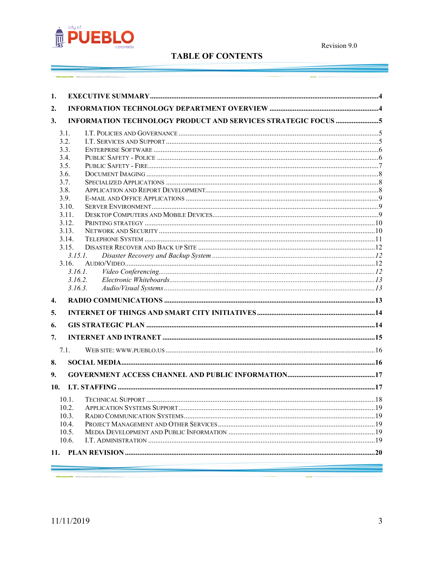

# **TABLE OF CONTENTS**

| 1.           |         |  |  |  |
|--------------|---------|--|--|--|
| 2.           |         |  |  |  |
| 3.           |         |  |  |  |
| 3.1.         |         |  |  |  |
| 3.2.         |         |  |  |  |
| 3.3.         |         |  |  |  |
| 3.4.         |         |  |  |  |
| 3.5.         |         |  |  |  |
| 3.6.<br>3.7. |         |  |  |  |
| 3.8.         |         |  |  |  |
| 3.9.         |         |  |  |  |
| 3.10.        |         |  |  |  |
| 3.11.        |         |  |  |  |
| 3.12.        |         |  |  |  |
| 3.13.        |         |  |  |  |
| 3.14.        |         |  |  |  |
| 3.15.        |         |  |  |  |
|              | 3.15.1  |  |  |  |
| 3.16.        |         |  |  |  |
|              | 3161    |  |  |  |
|              | 3.16.2. |  |  |  |
|              | 3.16.3. |  |  |  |
| 4.           |         |  |  |  |
| 5.           |         |  |  |  |
| 6.           |         |  |  |  |
| 7.           |         |  |  |  |
| 7.1.         |         |  |  |  |
| 8.           |         |  |  |  |
| 9.           |         |  |  |  |
| 10.          |         |  |  |  |
| 10.1.        |         |  |  |  |
| 10.2.        |         |  |  |  |
| 10.3.        |         |  |  |  |
| 10.4.        |         |  |  |  |
| 10.5.        |         |  |  |  |
| 10.6.        |         |  |  |  |
| 11.          |         |  |  |  |
|              |         |  |  |  |

 $\begin{array}{l} \hline \textbf{1} & \textbf{1} & \textbf{1} & \textbf{1} & \textbf{1} & \textbf{1} & \textbf{1} & \textbf{1} & \textbf{1} & \textbf{1} & \textbf{1} & \textbf{1} & \textbf{1} & \textbf{1} & \textbf{1} & \textbf{1} & \textbf{1} & \textbf{1} & \textbf{1} & \textbf{1} & \textbf{1} & \textbf{1} & \textbf{1} & \textbf{1} & \textbf{1} & \textbf{1} & \textbf{1} & \textbf{1} & \textbf{1} & \textbf{1} &$ 

an<br>Wilaya masa sa masa na katalog atawan na katalog atawan na katalog atawa na katalog atawa na katalog atawa na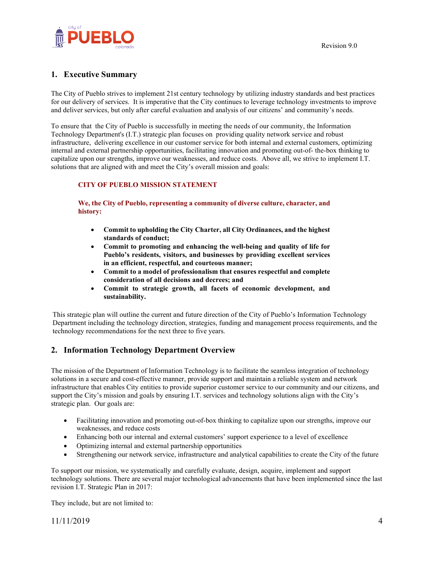

# <span id="page-3-0"></span>**1. Executive Summary**

The City of Pueblo strives to implement 21st century technology by utilizing industry standards and best practices for our delivery of services. It is imperative that the City continues to leverage technology investments to improve and deliver services, but only after careful evaluation and analysis of our citizens' and community's needs.

To ensure that the City of Pueblo is successfully in meeting the needs of our community, the Information Technology Department's (I.T.) strategic plan focuses on providing quality network service and robust infrastructure, delivering excellence in our customer service for both internal and external customers, optimizing internal and external partnership opportunities, facilitating innovation and promoting out-of- the-box thinking to capitalize upon our strengths, improve our weaknesses, and reduce costs. Above all, we strive to implement I.T. solutions that are aligned with and meet the City's overall mission and goals:

#### **CITY OF PUEBLO MISSION STATEMENT**

#### **We, the City of Pueblo, representing a community of diverse culture, character, and history:**

- **Commit to upholding the City Charter, all City Ordinances, and the highest standards of conduct;**
- **Commit to promoting and enhancing the well-being and quality of life for Pueblo's residents, visitors, and businesses by providing excellent services in an efficient, respectful, and courteous manner;**
- **Commit to a model of professionalism that ensures respectful and complete consideration of all decisions and decrees; and**
- **Commit to strategic growth, all facets of economic development, and sustainability.**

This strategic plan will outline the current and future direction of the City of Pueblo's Information Technology Department including the technology direction, strategies, funding and management process requirements, and the technology recommendations for the next three to five years.

# <span id="page-3-1"></span>**2. Information Technology Department Overview**

The mission of the Department of Information Technology is to facilitate the seamless integration of technology solutions in a secure and cost-effective manner, provide support and maintain a reliable system and network infrastructure that enables City entities to provide superior customer service to our community and our citizens, and support the City's mission and goals by ensuring I.T. services and technology solutions align with the City's strategic plan. Our goals are:

- Facilitating innovation and promoting out-of-box thinking to capitalize upon our strengths, improve our weaknesses, and reduce costs
- Enhancing both our internal and external customers' support experience to a level of excellence
- Optimizing internal and external partnership opportunities
- Strengthening our network service, infrastructure and analytical capabilities to create the City of the future

To support our mission, we systematically and carefully evaluate, design, acquire, implement and support technology solutions. There are several major technological advancements that have been implemented since the last revision I.T. Strategic Plan in 2017:

They include, but are not limited to:

11/11/2019 4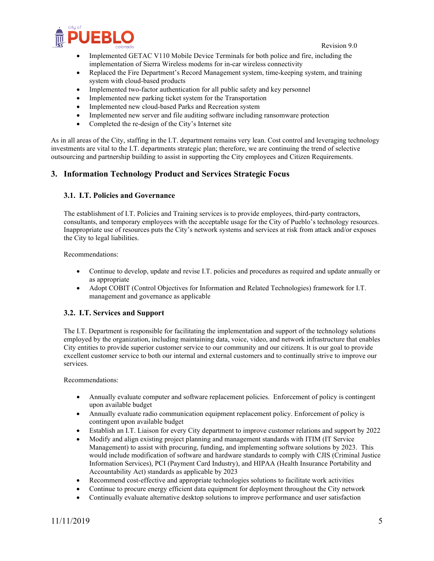



- Implemented GETAC V110 Mobile Device Terminals for both police and fire, including the implementation of Sierra Wireless modems for in-car wireless connectivity
- Replaced the Fire Department's Record Management system, time-keeping system, and training system with cloud-based products
- Implemented two-factor authentication for all public safety and key personnel
- Implemented new parking ticket system for the Transportation
- Implemented new cloud-based Parks and Recreation system
- Implemented new server and file auditing software including ransomware protection
- Completed the re-design of the City's Internet site

As in all areas of the City, staffing in the I.T. department remains very lean. Cost control and leveraging technology investments are vital to the I.T. departments strategic plan; therefore, we are continuing the trend of selective outsourcing and partnership building to assist in supporting the City employees and Citizen Requirements.

# <span id="page-4-0"></span>**3. Information Technology Product and Services Strategic Focus**

#### <span id="page-4-1"></span>**3.1. I.T. Policies and Governance**

The establishment of I.T. Policies and Training services is to provide employees, third-party contractors, consultants, and temporary employees with the acceptable usage for the City of Pueblo's technology resources. Inappropriate use of resources puts the City's network systems and services at risk from attack and/or exposes the City to legal liabilities.

Recommendations:

- Continue to develop, update and revise I.T. policies and procedures as required and update annually or as appropriate
- Adopt COBIT (Control Objectives for Information and Related Technologies) framework for I.T. management and governance as applicable

#### <span id="page-4-2"></span>**3.2. I.T. Services and Support**

The I.T. Department is responsible for facilitating the implementation and support of the technology solutions employed by the organization, including maintaining data, voice, video, and network infrastructure that enables City entities to provide superior customer service to our community and our citizens. It is our goal to provide excellent customer service to both our internal and external customers and to continually strive to improve our services.

Recommendations:

- Annually evaluate computer and software replacement policies. Enforcement of policy is contingent upon available budget
- Annually evaluate radio communication equipment replacement policy. Enforcement of policy is contingent upon available budget
- Establish an I.T. Liaison for every City department to improve customer relations and support by 2022
- Modify and align existing project planning and management standards with ITIM (IT Service Management) to assist with procuring, funding, and implementing software solutions by 2023. This would include modification of software and hardware standards to comply with CJIS (Criminal Justice Information Services), PCI (Payment Card Industry), and HIPAA (Health Insurance Portability and Accountability Act) standards as applicable by 2023
- Recommend cost-effective and appropriate technologies solutions to facilitate work activities
- Continue to procure energy efficient data equipment for deployment throughout the City network
- Continually evaluate alternative desktop solutions to improve performance and user satisfaction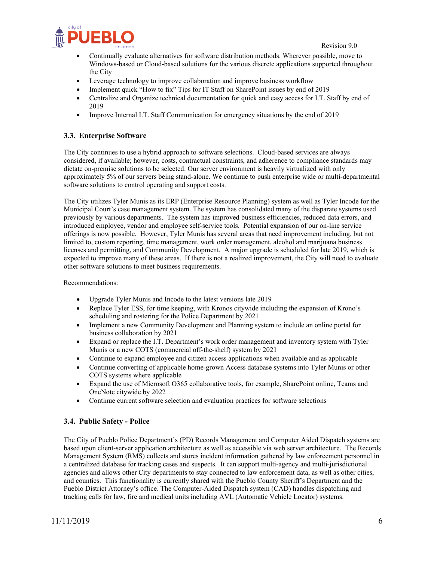

- Continually evaluate alternatives for software distribution methods. Wherever possible, move to Windows-based or Cloud-based solutions for the various discrete applications supported throughout the City
- Leverage technology to improve collaboration and improve business workflow
- Implement quick "How to fix" Tips for IT Staff on SharePoint issues by end of 2019
- Centralize and Organize technical documentation for quick and easy access for I.T. Staff by end of 2019
- Improve Internal I.T. Staff Communication for emergency situations by the end of 2019

#### <span id="page-5-0"></span>**3.3. Enterprise Software**

The City continues to use a hybrid approach to software selections. Cloud-based services are always considered, if available; however, costs, contractual constraints, and adherence to compliance standards may dictate on-premise solutions to be selected. Our server environment is heavily virtualized with only approximately 5% of our servers being stand-alone. We continue to push enterprise wide or multi-departmental software solutions to control operating and support costs.

The City utilizes Tyler Munis as its ERP (Enterprise Resource Planning) system as well as Tyler Incode for the Municipal Court's case management system. The system has consolidated many of the disparate systems used previously by various departments. The system has improved business efficiencies, reduced data errors, and introduced employee, vendor and employee self-service tools. Potential expansion of our on-line service offerings is now possible. However, Tyler Munis has several areas that need improvement including, but not limited to, custom reporting, time management, work order management, alcohol and marijuana business licenses and permitting, and Community Development. A major upgrade is scheduled for late 2019, which is expected to improve many of these areas. If there is not a realized improvement, the City will need to evaluate other software solutions to meet business requirements.

Recommendations:

- Upgrade Tyler Munis and Incode to the latest versions late 2019
- Replace Tyler ESS, for time keeping, with Kronos citywide including the expansion of Krono's scheduling and rostering for the Police Department by 2021
- Implement a new Community Development and Planning system to include an online portal for business collaboration by 2021
- Expand or replace the I.T. Department's work order management and inventory system with Tyler Munis or a new COTS (commercial off-the-shelf) system by 2021
- Continue to expand employee and citizen access applications when available and as applicable
- Continue converting of applicable home-grown Access database systems into Tyler Munis or other COTS systems where applicable
- Expand the use of Microsoft O365 collaborative tools, for example, SharePoint online, Teams and OneNote citywide by 2022
- Continue current software selection and evaluation practices for software selections

#### <span id="page-5-1"></span>**3.4. Public Safety - Police**

The City of Pueblo Police Department's (PD) Records Management and Computer Aided Dispatch systems are based upon client-server application architecture as well as accessible via web server architecture. The Records Management System (RMS) collects and stores incident information gathered by law enforcement personnel in a centralized database for tracking cases and suspects. It can support multi-agency and multi-jurisdictional agencies and allows other City departments to stay connected to law enforcement data, as well as other cities, and counties. This functionality is currently shared with the Pueblo County Sheriff's Department and the Pueblo District Attorney's office. The Computer-Aided Dispatch system (CAD) handles dispatching and tracking calls for law, fire and medical units including AVL (Automatic Vehicle Locator) systems.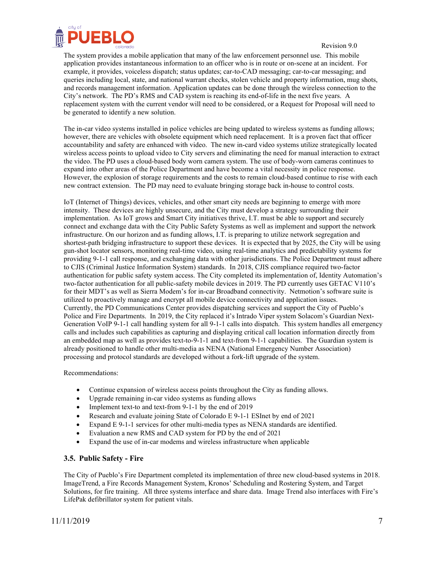

The system provides a mobile application that many of the law enforcement personnel use. This mobile application provides instantaneous information to an officer who is in route or on-scene at an incident. For example, it provides, voiceless dispatch; status updates; car-to-CAD messaging; car-to-car messaging; and queries including local, state, and national warrant checks, stolen vehicle and property information, mug shots, and records management information. Application updates can be done through the wireless connection to the City's network. The PD's RMS and CAD system is reaching its end-of-life in the next five years. A replacement system with the current vendor will need to be considered, or a Request for Proposal will need to be generated to identify a new solution.

The in-car video systems installed in police vehicles are being updated to wireless systems as funding allows; however, there are vehicles with obsolete equipment which need replacement. It is a proven fact that officer accountability and safety are enhanced with video. The new in-card video systems utilize strategically located wireless access points to upload video to City servers and eliminating the need for manual interaction to extract the video. The PD uses a cloud-based body worn camera system. The use of body-worn cameras continues to expand into other areas of the Police Department and have become a vital necessity in police response. However, the explosion of storage requirements and the costs to remain cloud-based continue to rise with each new contract extension. The PD may need to evaluate bringing storage back in-house to control costs.

IoT (Internet of Things) devices, vehicles, and other smart city needs are beginning to emerge with more intensity. These devices are highly unsecure, and the City must develop a strategy surrounding their implementation. As IoT grows and Smart City initiatives thrive, I.T. must be able to support and securely connect and exchange data with the City Public Safety Systems as well as implement and support the network infrastructure. On our horizon and as funding allows, I.T. is preparing to utilize network segregation and shortest-path bridging infrastructure to support these devices. It is expected that by 2025, the City will be using gun-shot locator sensors, monitoring real-time video, using real-time analytics and predictability systems for providing 9-1-1 call response, and exchanging data with other jurisdictions. The Police Department must adhere to CJIS (Criminal Justice Information System) standards. In 2018, CJIS compliance required two-factor authentication for public safety system access. The City completed its implementation of, Identity Automation's two-factor authentication for all public-safety mobile devices in 2019. The PD currently uses GETAC V110's for their MDT's as well as Sierra Modem's for in-car Broadband connectivity. Netmotion's software suite is utilized to proactively manage and encrypt all mobile device connectivity and application issues. Currently, the PD Communications Center provides dispatching services and support the City of Pueblo's Police and Fire Departments. In 2019, the City replaced it's Intrado Viper system Solacom's Guardian Next-Generation VoIP 9-1-1 call handling system for all 9-1-1 calls into dispatch. This system handles all emergency calls and includes such capabilities as capturing and displaying critical call location information directly from an embedded map as well as provides text-to-9-1-1 and text-from 9-1-1 capabilities. The Guardian system is already positioned to handle other multi-media as NENA (National Emergency Number Association) processing and protocol standards are developed without a fork-lift upgrade of the system.

Recommendations:

- Continue expansion of wireless access points throughout the City as funding allows.
- Upgrade remaining in-car video systems as funding allows
- Implement text-to and text-from 9-1-1 by the end of 2019
- Research and evaluate joining State of Colorado E 9-1-1 ESInet by end of 2021
- Expand E 9-1-1 services for other multi-media types as NENA standards are identified.
- Evaluation a new RMS and CAD system for PD by the end of 2021
- Expand the use of in-car modems and wireless infrastructure when applicable

#### <span id="page-6-0"></span>**3.5. Public Safety - Fire**

The City of Pueblo's Fire Department completed its implementation of three new cloud-based systems in 2018. ImageTrend, a Fire Records Management System, Kronos' Scheduling and Rostering System, and Target Solutions, for fire training. All three systems interface and share data. Image Trend also interfaces with Fire's LifePak defibrillator system for patient vitals.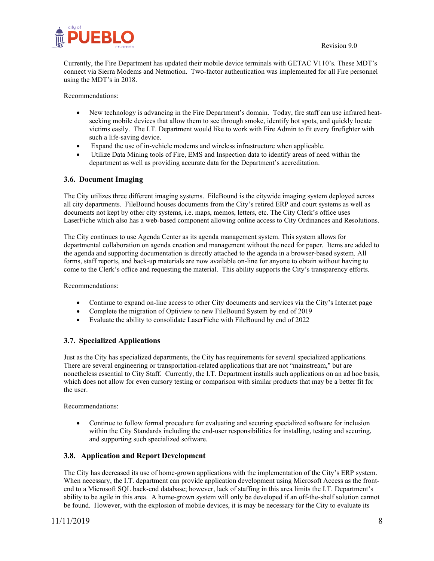

Currently, the Fire Department has updated their mobile device terminals with GETAC V110's. These MDT's connect via Sierra Modems and Netmotion. Two-factor authentication was implemented for all Fire personnel using the MDT's in 2018.

Recommendations:

- New technology is advancing in the Fire Department's domain. Today, fire staff can use infrared heatseeking mobile devices that allow them to see through smoke, identify hot spots, and quickly locate victims easily. The I.T. Department would like to work with Fire Admin to fit every firefighter with such a life-saving device.
- Expand the use of in-vehicle modems and wireless infrastructure when applicable.
- Utilize Data Mining tools of Fire, EMS and Inspection data to identify areas of need within the department as well as providing accurate data for the Department's accreditation.

#### <span id="page-7-0"></span>**3.6. Document Imaging**

The City utilizes three different imaging systems. FileBound is the citywide imaging system deployed across all city departments. FileBound houses documents from the City's retired ERP and court systems as well as documents not kept by other city systems, i.e. maps, memos, letters, etc. The City Clerk's office uses LaserFiche which also has a web-based component allowing online access to City Ordinances and Resolutions.

The City continues to use Agenda Center as its agenda management system. This system allows for departmental collaboration on agenda creation and management without the need for paper. Items are added to the agenda and supporting documentation is directly attached to the agenda in a browser-based system. All forms, staff reports, and back-up materials are now available on-line for anyone to obtain without having to come to the Clerk's office and requesting the material. This ability supports the City's transparency efforts.

Recommendations:

- Continue to expand on-line access to other City documents and services via the City's Internet page
- Complete the migration of Optiview to new FileBound System by end of 2019
- Evaluate the ability to consolidate LaserFiche with FileBound by end of 2022

#### <span id="page-7-1"></span>**3.7. Specialized Applications**

Just as the City has specialized departments, the City has requirements for several specialized applications. There are several engineering or transportation-related applications that are not "mainstream," but are nonetheless essential to City Staff. Currently, the I.T. Department installs such applications on an ad hoc basis, which does not allow for even cursory testing or comparison with similar products that may be a better fit for the user.

Recommendations:

• Continue to follow formal procedure for evaluating and securing specialized software for inclusion within the City Standards including the end-user responsibilities for installing, testing and securing, and supporting such specialized software.

#### <span id="page-7-2"></span>**3.8. Application and Report Development**

The City has decreased its use of home-grown applications with the implementation of the City's ERP system. When necessary, the I.T. department can provide application development using Microsoft Access as the frontend to a Microsoft SQL back-end database; however, lack of staffing in this area limits the I.T. Department's ability to be agile in this area. A home-grown system will only be developed if an off-the-shelf solution cannot be found. However, with the explosion of mobile devices, it is may be necessary for the City to evaluate its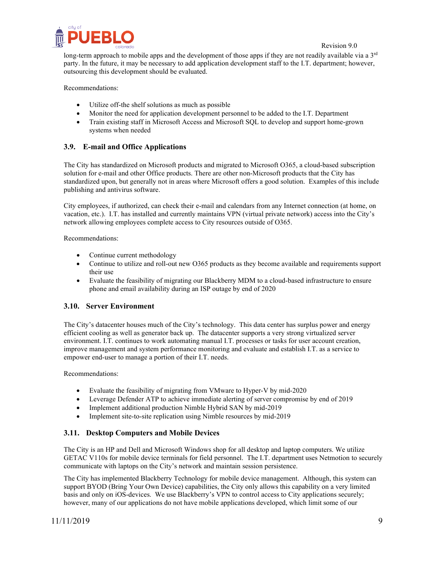

long-term approach to mobile apps and the development of those apps if they are not readily available via a  $3<sup>rd</sup>$ party. In the future, it may be necessary to add application development staff to the I.T. department; however, outsourcing this development should be evaluated.

Recommendations:

- Utilize off-the shelf solutions as much as possible
- Monitor the need for application development personnel to be added to the I.T. Department
- Train existing staff in Microsoft Access and Microsoft SQL to develop and support home-grown systems when needed

# <span id="page-8-0"></span>**3.9. E-mail and Office Applications**

The City has standardized on Microsoft products and migrated to Microsoft O365, a cloud-based subscription solution for e-mail and other Office products. There are other non-Microsoft products that the City has standardized upon, but generally not in areas where Microsoft offers a good solution. Examples of this include publishing and antivirus software.

City employees, if authorized, can check their e-mail and calendars from any Internet connection (at home, on vacation, etc.). I.T. has installed and currently maintains VPN (virtual private network) access into the City's network allowing employees complete access to City resources outside of O365.

Recommendations:

- Continue current methodology
- Continue to utilize and roll-out new O365 products as they become available and requirements support their use
- Evaluate the feasibility of migrating our Blackberry MDM to a cloud-based infrastructure to ensure phone and email availability during an ISP outage by end of 2020

#### <span id="page-8-1"></span>**3.10. Server Environment**

The City's datacenter houses much of the City's technology. This data center has surplus power and energy efficient cooling as well as generator back up. The datacenter supports a very strong virtualized server environment. I.T. continues to work automating manual I.T. processes or tasks for user account creation, improve management and system performance monitoring and evaluate and establish I.T. as a service to empower end-user to manage a portion of their I.T. needs.

Recommendations:

- Evaluate the feasibility of migrating from VMware to Hyper-V by mid-2020
- Leverage Defender ATP to achieve immediate alerting of server compromise by end of 2019
- Implement additional production Nimble Hybrid SAN by mid-2019
- Implement site-to-site replication using Nimble resources by mid-2019

#### <span id="page-8-2"></span>**3.11. Desktop Computers and Mobile Devices**

The City is an HP and Dell and Microsoft Windows shop for all desktop and laptop computers. We utilize GETAC V110s for mobile device terminals for field personnel. The I.T. department uses Netmotion to securely communicate with laptops on the City's network and maintain session persistence.

The City has implemented Blackberry Technology for mobile device management. Although, this system can support BYOD (Bring Your Own Device) capabilities, the City only allows this capability on a very limited basis and only on iOS-devices. We use Blackberry's VPN to control access to City applications securely; however, many of our applications do not have mobile applications developed, which limit some of our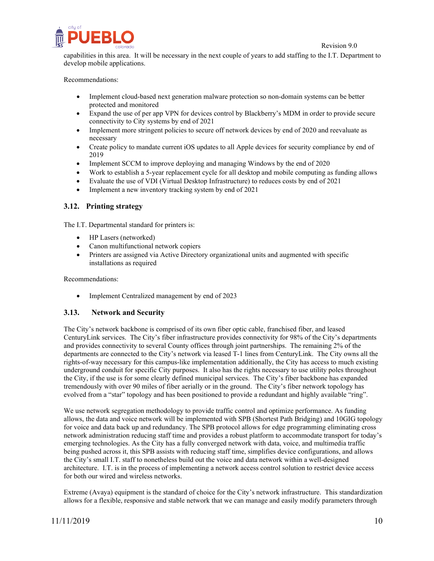

capabilities in this area. It will be necessary in the next couple of years to add staffing to the I.T. Department to develop mobile applications.

Recommendations:

- Implement cloud-based next generation malware protection so non-domain systems can be better protected and monitored
- Expand the use of per app VPN for devices control by Blackberry's MDM in order to provide secure connectivity to City systems by end of 2021
- Implement more stringent policies to secure off network devices by end of 2020 and reevaluate as necessary
- Create policy to mandate current iOS updates to all Apple devices for security compliance by end of 2019
- Implement SCCM to improve deploying and managing Windows by the end of 2020
- Work to establish a 5-year replacement cycle for all desktop and mobile computing as funding allows
- Evaluate the use of VDI (Virtual Desktop Infrastructure) to reduces costs by end of 2021
- Implement a new inventory tracking system by end of 2021

#### <span id="page-9-0"></span>**3.12. Printing strategy**

The I.T. Departmental standard for printers is:

- HP Lasers (networked)
- Canon multifunctional network copiers
- Printers are assigned via Active Directory organizational units and augmented with specific installations as required

Recommendations:

<span id="page-9-1"></span>• Implement Centralized management by end of 2023

#### **3.13. Network and Security**

The City's network backbone is comprised of its own fiber optic cable, franchised fiber, and leased CenturyLink services. The City's fiber infrastructure provides connectivity for 98% of the City's departments and provides connectivity to several County offices through joint partnerships. The remaining 2% of the departments are connected to the City's network via leased T-1 lines from CenturyLink. The City owns all the rights-of-way necessary for this campus-like implementation additionally, the City has access to much existing underground conduit for specific City purposes. It also has the rights necessary to use utility poles throughout the City, if the use is for some clearly defined municipal services. The City's fiber backbone has expanded tremendously with over 90 miles of fiber aerially or in the ground. The City's fiber network topology has evolved from a "star" topology and has been positioned to provide a redundant and highly available "ring".

We use network segregation methodology to provide traffic control and optimize performance. As funding allows, the data and voice network will be implemented with SPB (Shortest Path Bridging) and 10GIG topology for voice and data back up and redundancy. The SPB protocol allows for edge programming eliminating cross network administration reducing staff time and provides a robust platform to accommodate transport for today's emerging technologies. As the City has a fully converged network with data, voice, and multimedia traffic being pushed across it, this SPB assists with reducing staff time, simplifies device configurations, and allows the City's small I.T. staff to nonetheless build out the voice and data network within a well-designed architecture. I.T. is in the process of implementing a network access control solution to restrict device access for both our wired and wireless networks.

Extreme (Avaya) equipment is the standard of choice for the City's network infrastructure. This standardization allows for a flexible, responsive and stable network that we can manage and easily modify parameters through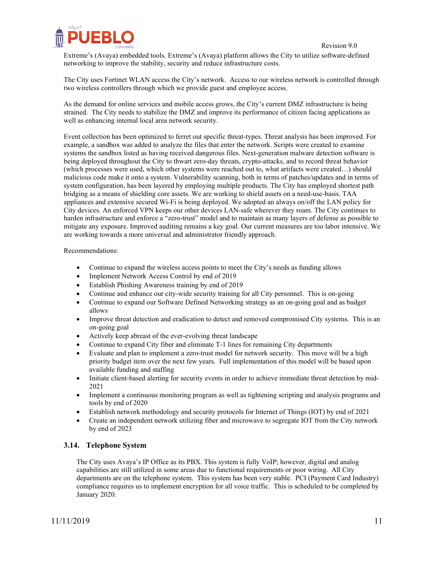

Extreme's (Avaya) embedded tools. Extreme's (Avaya) platform allows the City to utilize software-defined networking to improve the stability, security and reduce infrastructure costs.

The City uses Fortinet WLAN access the City's network. Access to our wireless network is controlled through two wireless controllers through which we provide guest and employee access.

As the demand for online services and mobile access grows, the City's current DMZ infrastructure is being strained. The City needs to stabilize the DMZ and improve its performance of citizen facing applications as well as enhancing internal local area network security.

Event collection has been optimized to ferret out specific threat-types. Threat analysis has been improved. For example, a sandbox was added to analyze the files that enter the network. Scripts were created to examine systems the sandbox listed as having received dangerous files. Next-generation malware detection software is being deployed throughout the City to thwart zero-day threats, crypto-attacks, and to record threat behavior (which processes were used, which other systems were reached out to, what artifacts were created…) should malicious code make it onto a system. Vulnerability scanning, both in terms of patches/updates and in terms of system configuration, has been layered by employing multiple products. The City has employed shortest path bridging as a means of shielding core assets. We are working to shield assets on a need-use-basis. TAA appliances and extensive secured Wi-Fi is being deployed. We adopted an always on/off the LAN policy for City devices. An enforced VPN keeps our other devices LAN-safe wherever they roam. The City continues to harden infrastructure and enforce a "zero-trust" model and to maintain as many layers of defense as possible to mitigate any exposure. Improved auditing remains a key goal. Our current measures are too labor intensive. We are working towards a more universal and administrator friendly approach.

Recommendations:

- Continue to expand the wireless access points to meet the City's needs as funding allows
- Implement Network Access Control by end of 2019
- Establish Phishing Awareness training by end of 2019
- Continue and enhance our city-wide security training for all City personnel. This is on-going
- Continue to expand our Software Defined Networking strategy as an on-going goal and as budget allows
- Improve threat detection and eradication to detect and removed compromised City systems. This is an on-going goal
- Actively keep abreast of the ever-evolving threat landscape
- Continue to expand City fiber and eliminate T-1 lines for remaining City departments
- Evaluate and plan to implement a zero-trust model for network security. This move will be a high priority budget item over the next few years. Full implementation of this model will be based upon available funding and staffing
- Initiate client-based alerting for security events in order to achieve immediate threat detection by mid-2021
- Implement a continuous monitoring program as well as tightening scripting and analysis programs and tools by end of 2020
- Establish network methodology and security protocols for Internet of Things (IOT) by end of 2021
- Create an independent network utilizing fiber and microwave to segregate IOT from the City network by end of 2023

#### <span id="page-10-0"></span>**3.14. Telephone System**

The City uses Avaya's IP Office as its PBX. This system is fully VoIP; however, digital and analog capabilities are still utilized in some areas due to functional requirements or poor wiring. All City departments are on the telephone system. This system has been very stable. PCI (Payment Card Industry) compliance requires us to implement encryption for all voice traffic. This is scheduled to be completed by January 2020.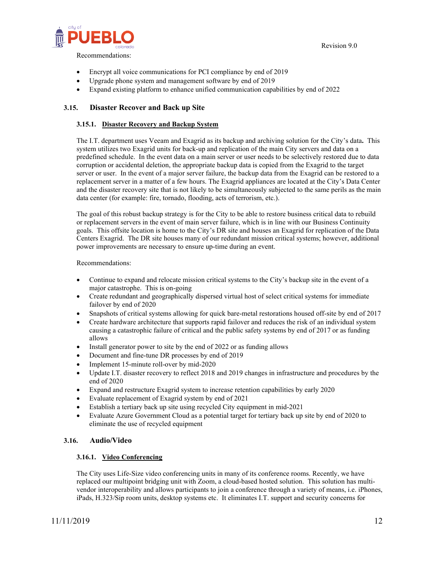

- Encrypt all voice communications for PCI compliance by end of 2019
- Upgrade phone system and management software by end of 2019
- <span id="page-11-0"></span>• Expand existing platform to enhance unified communication capabilities by end of 2022

### <span id="page-11-1"></span>**3.15. Disaster Recover and Back up Site**

#### **3.15.1. Disaster Recovery and Backup System**

The I.T. department uses Veeam and Exagrid as its backup and archiving solution for the City's data**.** This system utilizes two Exagrid units for back-up and replication of the main City servers and data on a predefined schedule. In the event data on a main server or user needs to be selectively restored due to data corruption or accidental deletion, the appropriate backup data is copied from the Exagrid to the target server or user. In the event of a major server failure, the backup data from the Exagrid can be restored to a replacement server in a matter of a few hours. The Exagrid appliances are located at the City's Data Center and the disaster recovery site that is not likely to be simultaneously subjected to the same perils as the main data center (for example: fire, tornado, flooding, acts of terrorism, etc.).

The goal of this robust backup strategy is for the City to be able to restore business critical data to rebuild or replacement servers in the event of main server failure, which is in line with our Business Continuity goals. This offsite location is home to the City's DR site and houses an Exagrid for replication of the Data Centers Exagrid. The DR site houses many of our redundant mission critical systems; however, additional power improvements are necessary to ensure up-time during an event.

#### Recommendations:

- Continue to expand and relocate mission critical systems to the City's backup site in the event of a major catastrophe. This is on-going
- Create redundant and geographically dispersed virtual host of select critical systems for immediate failover by end of 2020
- Snapshots of critical systems allowing for quick bare-metal restorations housed off-site by end of 2017
- Create hardware architecture that supports rapid failover and reduces the risk of an individual system causing a catastrophic failure of critical and the public safety systems by end of 2017 or as funding allows
- Install generator power to site by the end of 2022 or as funding allows
- Document and fine-tune DR processes by end of 2019
- Implement 15-minute roll-over by mid-2020
- Update I.T. disaster recovery to reflect 2018 and 2019 changes in infrastructure and procedures by the end of 2020
- Expand and restructure Exagrid system to increase retention capabilities by early 2020
- Evaluate replacement of Exagrid system by end of 2021
- Establish a tertiary back up site using recycled City equipment in mid-2021
- Evaluate Azure Government Cloud as a potential target for tertiary back up site by end of 2020 to eliminate the use of recycled equipment

#### <span id="page-11-3"></span>**3.16. Audio/Video**

#### <span id="page-11-2"></span>**3.16.1. Video Conferencing**

The City uses Life-Size video conferencing units in many of its conference rooms. Recently, we have replaced our multipoint bridging unit with Zoom, a cloud-based hosted solution. This solution has multivendor interoperability and allows participants to join a conference through a variety of means, i.e. iPhones, iPads, H.323/Sip room units, desktop systems etc. It eliminates I.T. support and security concerns for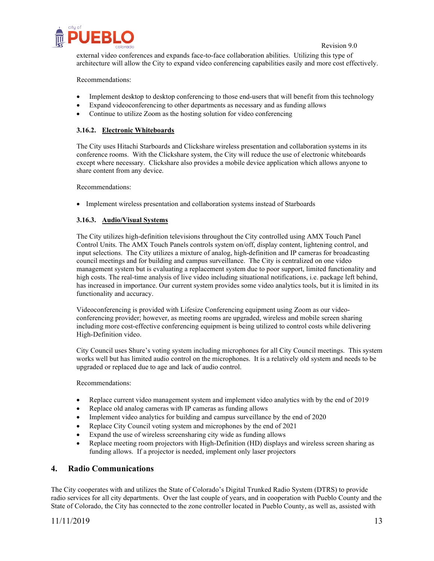

external video conferences and expands face-to-face collaboration abilities. Utilizing this type of architecture will allow the City to expand video conferencing capabilities easily and more cost effectively.

#### Recommendations:

- Implement desktop to desktop conferencing to those end-users that will benefit from this technology
- Expand videoconferencing to other departments as necessary and as funding allows
- Continue to utilize Zoom as the hosting solution for video conferencing

#### <span id="page-12-0"></span>**3.16.2. Electronic Whiteboards**

The City uses Hitachi Starboards and Clickshare wireless presentation and collaboration systems in its conference rooms. With the Clickshare system, the City will reduce the use of electronic whiteboards except where necessary. Clickshare also provides a mobile device application which allows anyone to share content from any device.

Recommendations:

• Implement wireless presentation and collaboration systems instead of Starboards

#### <span id="page-12-1"></span>**3.16.3. Audio/Visual Systems**

The City utilizes high-definition televisions throughout the City controlled using AMX Touch Panel Control Units. The AMX Touch Panels controls system on/off, display content, lightening control, and input selections. The City utilizes a mixture of analog, high-definition and IP cameras for broadcasting council meetings and for building and campus surveillance. The City is centralized on one video management system but is evaluating a replacement system due to poor support, limited functionality and high costs. The real-time analysis of live video including situational notifications, i.e. package left behind, has increased in importance. Our current system provides some video analytics tools, but it is limited in its functionality and accuracy.

Videoconferencing is provided with Lifesize Conferencing equipment using Zoom as our videoconferencing provider; however, as meeting rooms are upgraded, wireless and mobile screen sharing including more cost-effective conferencing equipment is being utilized to control costs while delivering High-Definition video.

City Council uses Shure's voting system including microphones for all City Council meetings. This system works well but has limited audio control on the microphones. It is a relatively old system and needs to be upgraded or replaced due to age and lack of audio control.

#### Recommendations:

- Replace current video management system and implement video analytics with by the end of 2019
- Replace old analog cameras with IP cameras as funding allows
- Implement video analytics for building and campus surveillance by the end of 2020
- Replace City Council voting system and microphones by the end of 2021
- Expand the use of wireless screensharing city wide as funding allows
- Replace meeting room projectors with High-Definition (HD) displays and wireless screen sharing as funding allows. If a projector is needed, implement only laser projectors

#### <span id="page-12-2"></span>**4. Radio Communications**

The City cooperates with and utilizes the State of Colorado's Digital Trunked Radio System (DTRS) to provide radio services for all city departments. Over the last couple of years, and in cooperation with Pueblo County and the State of Colorado, the City has connected to the zone controller located in Pueblo County, as well as, assisted with

# 11/11/2019 13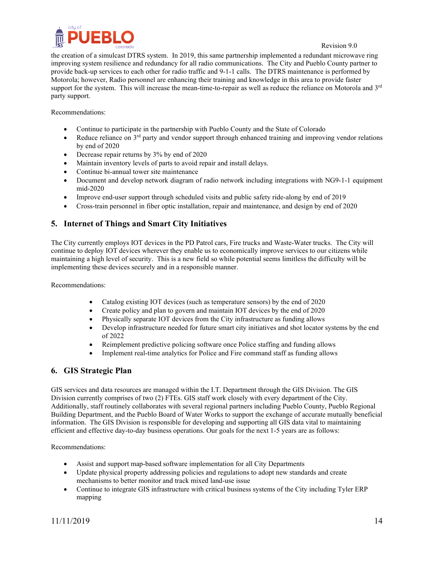

the creation of a simulcast DTRS system. In 2019, this same partnership implemented a redundant microwave ring improving system resilience and redundancy for all radio communications. The City and Pueblo County partner to provide back-up services to each other for radio traffic and 9-1-1 calls. The DTRS maintenance is performed by Motorola; however, Radio personnel are enhancing their training and knowledge in this area to provide faster support for the system. This will increase the mean-time-to-repair as well as reduce the reliance on Motorola and  $3<sup>rd</sup>$ party support.

Recommendations:

- Continue to participate in the partnership with Pueblo County and the State of Colorado
- Reduce reliance on  $3<sup>rd</sup>$  party and vendor support through enhanced training and improving vendor relations by end of 2020
- Decrease repair returns by 3% by end of 2020
- Maintain inventory levels of parts to avoid repair and install delays.
- Continue bi-annual tower site maintenance
- Document and develop network diagram of radio network including integrations with NG9-1-1 equipment mid-2020
- Improve end-user support through scheduled visits and public safety ride-along by end of 2019
- Cross-train personnel in fiber optic installation, repair and maintenance, and design by end of 2020

# <span id="page-13-0"></span>**5. Internet of Things and Smart City Initiatives**

The City currently employs IOT devices in the PD Patrol cars, Fire trucks and Waste-Water trucks. The City will continue to deploy IOT devices wherever they enable us to economically improve services to our citizens while maintaining a high level of security. This is a new field so while potential seems limitless the difficulty will be implementing these devices securely and in a responsible manner.

Recommendations:

- Catalog existing IOT devices (such as temperature sensors) by the end of 2020
- Create policy and plan to govern and maintain IOT devices by the end of 2020
- Physically separate IOT devices from the City infrastructure as funding allows
- Develop infrastructure needed for future smart city initiatives and shot locator systems by the end of 2022
- Reimplement predictive policing software once Police staffing and funding allows
- Implement real-time analytics for Police and Fire command staff as funding allows

# <span id="page-13-1"></span>**6. GIS Strategic Plan**

GIS services and data resources are managed within the I.T. Department through the GIS Division. The GIS Division currently comprises of two (2) FTEs. GIS staff work closely with every department of the City. Additionally, staff routinely collaborates with several regional partners including Pueblo County, Pueblo Regional Building Department, and the Pueblo Board of Water Works to support the exchange of accurate mutually beneficial information. The GIS Division is responsible for developing and supporting all GIS data vital to maintaining efficient and effective day-to-day business operations. Our goals for the next 1-5 years are as follows:

Recommendations:

- Assist and support map-based software implementation for all City Departments
- Update physical property addressing policies and regulations to adopt new standards and create mechanisms to better monitor and track mixed land-use issue
- Continue to integrate GIS infrastructure with critical business systems of the City including Tyler ERP mapping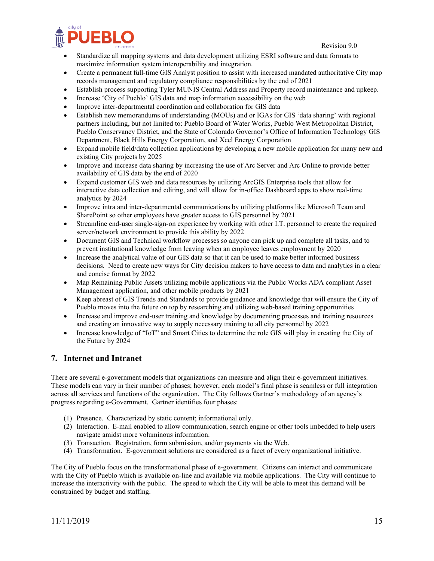

- Standardize all mapping systems and data development utilizing ESRI software and data formats to maximize information system interoperability and integration.
- Create a permanent full-time GIS Analyst position to assist with increased mandated authoritative City map records management and regulatory compliance responsibilities by the end of 2021
- Establish process supporting Tyler MUNIS Central Address and Property record maintenance and upkeep.
- Increase 'City of Pueblo' GIS data and map information accessibility on the web
- Improve inter-departmental coordination and collaboration for GIS data
- Establish new memorandums of understanding (MOUs) and or IGAs for GIS 'data sharing' with regional partners including, but not limited to: Pueblo Board of Water Works, Pueblo West Metropolitan District, Pueblo Conservancy District, and the State of Colorado Governor's Office of Information Technology GIS Department, Black Hills Energy Corporation, and Xcel Energy Corporation
- Expand mobile field/data collection applications by developing a new mobile application for many new and existing City projects by 2025
- Improve and increase data sharing by increasing the use of Arc Server and Arc Online to provide better availability of GIS data by the end of 2020
- Expand customer GIS web and data resources by utilizing ArcGIS Enterprise tools that allow for interactive data collection and editing, and will allow for in-office Dashboard apps to show real-time analytics by 2024
- Improve intra and inter-departmental communications by utilizing platforms like Microsoft Team and SharePoint so other employees have greater access to GIS personnel by 2021
- Streamline end-user single-sign-on experience by working with other I.T. personnel to create the required server/network environment to provide this ability by 2022
- Document GIS and Technical workflow processes so anyone can pick up and complete all tasks, and to prevent institutional knowledge from leaving when an employee leaves employment by 2020
- Increase the analytical value of our GIS data so that it can be used to make better informed business decisions. Need to create new ways for City decision makers to have access to data and analytics in a clear and concise format by 2022
- Map Remaining Public Assets utilizing mobile applications via the Public Works ADA compliant Asset Management application, and other mobile products by 2021
- Keep abreast of GIS Trends and Standards to provide guidance and knowledge that will ensure the City of Pueblo moves into the future on top by researching and utilizing web-based training opportunities
- Increase and improve end-user training and knowledge by documenting processes and training resources and creating an innovative way to supply necessary training to all city personnel by 2022
- Increase knowledge of "IoT" and Smart Cities to determine the role GIS will play in creating the City of the Future by 2024

# <span id="page-14-0"></span>**7. Internet and Intranet**

There are several e-government models that organizations can measure and align their e-government initiatives. These models can vary in their number of phases; however, each model's final phase is seamless or full integration across all services and functions of the organization. The City follows Gartner's methodology of an agency's progress regarding e-Government. Gartner identifies four phases:

- (1) Presence. Characterized by static content; informational only.
- (2) Interaction. E-mail enabled to allow communication, search engine or other tools imbedded to help users navigate amidst more voluminous information.
- (3) Transaction. Registration, form submission, and/or payments via the Web.
- (4) Transformation. E-government solutions are considered as a facet of every organizational initiative.

The City of Pueblo focus on the transformational phase of e-government. Citizens can interact and communicate with the City of Pueblo which is available on-line and available via mobile applications. The City will continue to increase the interactivity with the public. The speed to which the City will be able to meet this demand will be constrained by budget and staffing.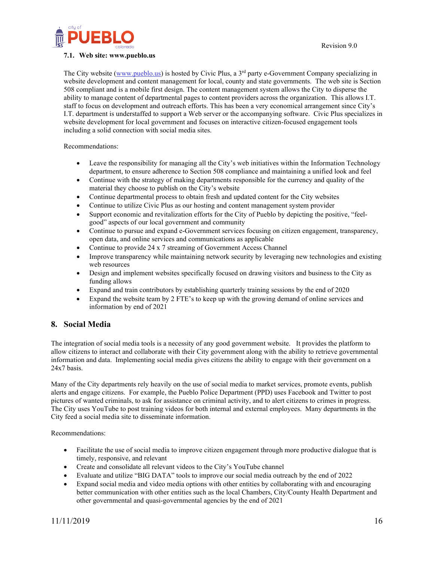

#### <span id="page-15-0"></span>**7.1. Web site: [www.pueblo.us](http://www.pueblo.us/)**

The City website [\(www.pueblo.us\)](http://www.pueblo.us/) is hosted by Civic Plus, a 3<sup>rd</sup> party e-Government Company specializing in website development and content management for local, county and state governments. The web site is Section 508 compliant and is a mobile first design. The content management system allows the City to disperse the ability to manage content of departmental pages to content providers across the organization. This allows I.T. staff to focus on development and outreach efforts. This has been a very economical arrangement since City's I.T. department is understaffed to support a Web server or the accompanying software. Civic Plus specializes in website development for local government and focuses on interactive citizen-focused engagement tools including a solid connection with social media sites.

Recommendations:

- Leave the responsibility for managing all the City's web initiatives within the Information Technology department, to ensure adherence to Section 508 compliance and maintaining a unified look and feel
- Continue with the strategy of making departments responsible for the currency and quality of the material they choose to publish on the City's website
- Continue departmental process to obtain fresh and updated content for the City websites
- Continue to utilize Civic Plus as our hosting and content management system provider
- Support economic and revitalization efforts for the City of Pueblo by depicting the positive, "feelgood" aspects of our local government and community
- Continue to pursue and expand e-Government services focusing on citizen engagement, transparency, open data, and online services and communications as applicable
- Continue to provide 24 x 7 streaming of Government Access Channel
- Improve transparency while maintaining network security by leveraging new technologies and existing web resources
- Design and implement websites specifically focused on drawing visitors and business to the City as funding allows
- Expand and train contributors by establishing quarterly training sessions by the end of 2020
- Expand the website team by 2 FTE's to keep up with the growing demand of online services and information by end of 2021

#### <span id="page-15-1"></span>**8. Social Media**

The integration of social media tools is a necessity of any good government website. It provides the platform to allow citizens to interact and collaborate with their City government along with the ability to retrieve governmental information and data. Implementing social media gives citizens the ability to engage with their government on a 24x7 basis.

Many of the City departments rely heavily on the use of social media to market services, promote events, publish alerts and engage citizens. For example, the Pueblo Police Department (PPD) uses Facebook and Twitter to post pictures of wanted criminals, to ask for assistance on criminal activity, and to alert citizens to crimes in progress. The City uses YouTube to post training videos for both internal and external employees. Many departments in the City feed a social media site to disseminate information.

Recommendations:

- Facilitate the use of social media to improve citizen engagement through more productive dialogue that is timely, responsive, and relevant
- Create and consolidate all relevant videos to the City's YouTube channel
- Evaluate and utilize "BIG DATA" tools to improve our social media outreach by the end of 2022
- Expand social media and video media options with other entities by collaborating with and encouraging better communication with other entities such as the local Chambers, City/County Health Department and other governmental and quasi-governmental agencies by the end of 2021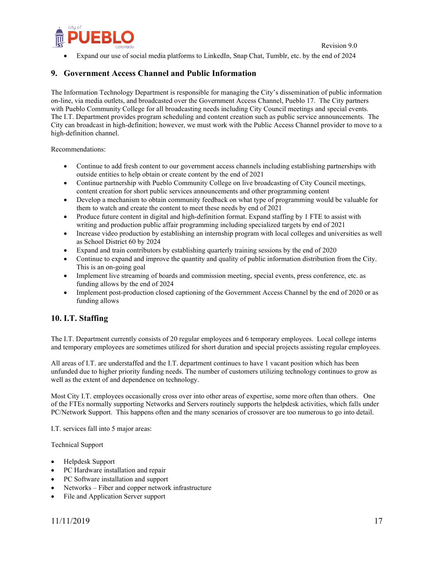

• Expand our use of social media platforms to LinkedIn, Snap Chat, Tumblr, etc. by the end of 2024

# <span id="page-16-0"></span>**9. Government Access Channel and Public Information**

The Information Technology Department is responsible for managing the City's dissemination of public information on-line, via media outlets, and broadcasted over the Government Access Channel, Pueblo 17. The City partners with Pueblo Community College for all broadcasting needs including City Council meetings and special events. The I.T. Department provides program scheduling and content creation such as public service announcements. The City can broadcast in high-definition; however, we must work with the Public Access Channel provider to move to a high-definition channel.

Recommendations:

- Continue to add fresh content to our government access channels including establishing partnerships with outside entities to help obtain or create content by the end of 2021
- Continue partnership with Pueblo Community College on live broadcasting of City Council meetings, content creation for short public services announcements and other programming content
- Develop a mechanism to obtain community feedback on what type of programming would be valuable for them to watch and create the content to meet these needs by end of 2021
- Produce future content in digital and high-definition format. Expand staffing by 1 FTE to assist with writing and production public affair programming including specialized targets by end of 2021
- Increase video production by establishing an internship program with local colleges and universities as well as School District 60 by 2024
- Expand and train contributors by establishing quarterly training sessions by the end of 2020
- Continue to expand and improve the quantity and quality of public information distribution from the City. This is an on-going goal
- Implement live streaming of boards and commission meeting, special events, press conference, etc. as funding allows by the end of 2024
- Implement post-production closed captioning of the Government Access Channel by the end of 2020 or as funding allows

# <span id="page-16-1"></span>**10. I.T. Staffing**

The I.T. Department currently consists of 20 regular employees and 6 temporary employees. Local college interns and temporary employees are sometimes utilized for short duration and special projects assisting regular employees.

All areas of I.T. are understaffed and the I.T. department continues to have 1 vacant position which has been unfunded due to higher priority funding needs. The number of customers utilizing technology continues to grow as well as the extent of and dependence on technology.

Most City I.T. employees occasionally cross over into other areas of expertise, some more often than others. One of the FTEs normally supporting Networks and Servers routinely supports the helpdesk activities, which falls under PC/Network Support. This happens often and the many scenarios of crossover are too numerous to go into detail.

I.T. services fall into 5 major areas:

Technical Support

- Helpdesk Support
- PC Hardware installation and repair
- PC Software installation and support
- Networks Fiber and copper network infrastructure
- File and Application Server support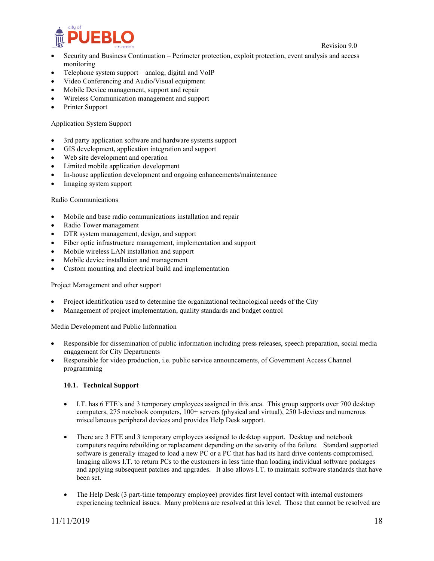

- Security and Business Continuation Perimeter protection, exploit protection, event analysis and access monitoring
- Telephone system support analog, digital and VoIP
- Video Conferencing and Audio/Visual equipment
- Mobile Device management, support and repair
- Wireless Communication management and support
- Printer Support

#### Application System Support

- 3rd party application software and hardware systems support
- GIS development, application integration and support
- Web site development and operation
- Limited mobile application development
- In-house application development and ongoing enhancements/maintenance
- Imaging system support

#### Radio Communications

- Mobile and base radio communications installation and repair
- Radio Tower management
- DTR system management, design, and support
- Fiber optic infrastructure management, implementation and support
- Mobile wireless LAN installation and support
- Mobile device installation and management
- Custom mounting and electrical build and implementation

#### Project Management and other support

- Project identification used to determine the organizational technological needs of the City
- Management of project implementation, quality standards and budget control

Media Development and Public Information

- Responsible for dissemination of public information including press releases, speech preparation, social media engagement for City Departments
- Responsible for video production, i.e. public service announcements, of Government Access Channel programming

#### <span id="page-17-0"></span>**10.1. Technical Support**

- I.T. has 6 FTE's and 3 temporary employees assigned in this area. This group supports over 700 desktop computers, 275 notebook computers, 100+ servers (physical and virtual), 250 I-devices and numerous miscellaneous peripheral devices and provides Help Desk support.
- There are 3 FTE and 3 temporary employees assigned to desktop support. Desktop and notebook computers require rebuilding or replacement depending on the severity of the failure. Standard supported software is generally imaged to load a new PC or a PC that has had its hard drive contents compromised. Imaging allows I.T. to return PCs to the customers in less time than loading individual software packages and applying subsequent patches and upgrades. It also allows I.T. to maintain software standards that have been set.
- The Help Desk (3 part-time temporary employee) provides first level contact with internal customers experiencing technical issues. Many problems are resolved at this level. Those that cannot be resolved are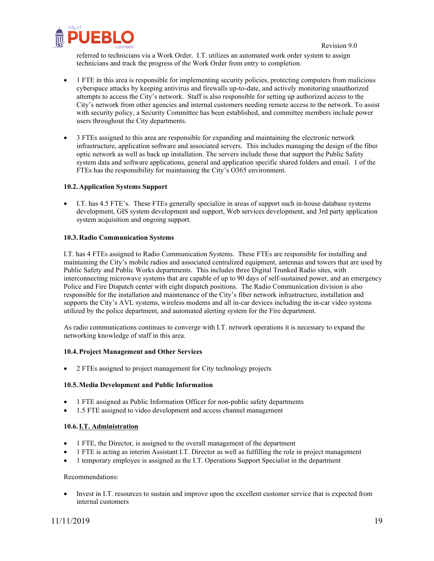

referred to technicians via a Work Order. I.T. utilizes an automated work order system to assign technicians and track the progress of the Work Order from entry to completion.

- 1 FTE in this area is responsible for implementing security policies, protecting computers from malicious cyberspace attacks by keeping antivirus and firewalls up-to-date, and actively monitoring unauthorized attempts to access the City's network. Staff is also responsible for setting up authorized access to the City's network from other agencies and internal customers needing remote access to the network. To assist with security policy, a Security Committee has been established, and committee members include power users throughout the City departments.
- 3 FTEs assigned to this area are responsible for expanding and maintaining the electronic network infrastructure, application software and associated servers. This includes managing the design of the fiber optic network as well as back up installation. The servers include those that support the Public Safety system data and software applications, general and application specific shared folders and email. 1 of the FTEs has the responsibility for maintaining the City's O365 environment.

#### <span id="page-18-0"></span>**10.2. Application Systems Support**

• I.T. has 4.5 FTE's. These FTEs generally specialize in areas of support such in-house database systems development, GIS system development and support, Web services development, and 3rd party application system acquisition and ongoing support.

#### <span id="page-18-1"></span>**10.3. Radio Communication Systems**

I.T. has 4 FTEs assigned to Radio Communication Systems. These FTEs are responsible for installing and maintaining the City's mobile radios and associated centralized equipment, antennas and towers that are used by Public Safety and Public Works departments. This includes three Digital Trunked Radio sites, with interconnecting microwave systems that are capable of up to 90 days of self-sustained power, and an emergency Police and Fire Dispatch center with eight dispatch positions. The Radio Communication division is also responsible for the installation and maintenance of the City's fiber network infrastructure, installation and supports the City's AVL systems, wireless modems and all in-car devices including the in-car video systems utilized by the police department, and automated alerting system for the Fire department.

As radio communications continues to converge with I.T. network operations it is necessary to expand the networking knowledge of staff in this area.

#### <span id="page-18-2"></span>**10.4.Project Management and Other Services**

• 2 FTEs assigned to project management for City technology projects

#### <span id="page-18-3"></span>**10.5.Media Development and Public Information**

- 1 FTE assigned as Public Information Officer for non-public safety departments
- 1.5 FTE assigned to video development and access channel management

#### <span id="page-18-4"></span>**10.6.I.T. Administration**

- 1 FTE, the Director, is assigned to the overall management of the department
- 1 FTE is acting as interim Assistant I.T. Director as well as fulfilling the role in project management
- 1 temporary employee is assigned as the I.T. Operations Support Specialist in the department

#### Recommendations:

• Invest in I.T. resources to sustain and improve upon the excellent customer service that is expected from internal customers